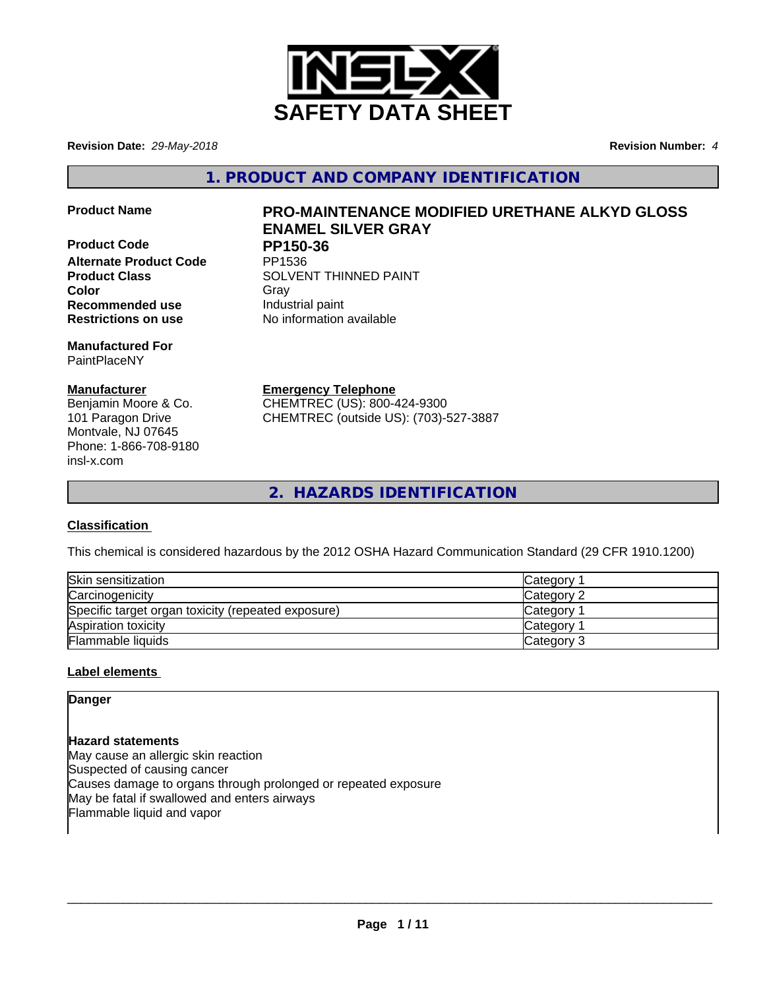

**Revision Date:** *29-May-2018* **Revision Number:** *4*

**1. PRODUCT AND COMPANY IDENTIFICATION**

**Product Code PP150-36**<br>Alternate Product Code PP1536 **Alternate Product Code Recommended use Industrial paint** 

**Manufactured For** PaintPlaceNY

## **Manufacturer**

Benjamin Moore & Co. 101 Paragon Drive Montvale, NJ 07645 Phone: 1-866-708-9180 insl-x.com

# **Product Name PRO-MAINTENANCE MODIFIED URETHANE ALKYD GLOSS ENAMEL SILVER GRAY**

**Product Class SOLVENT THINNED PAINT Color** Gray Gray **Restrictions on use** No information available

**Emergency Telephone**

CHEMTREC (US): 800-424-9300 CHEMTREC (outside US): (703)-527-3887

**2. HAZARDS IDENTIFICATION**

# **Classification**

This chemical is considered hazardous by the 2012 OSHA Hazard Communication Standard (29 CFR 1910.1200)

| Skin sensitization                                 | Category        |
|----------------------------------------------------|-----------------|
| Carcinogenicity                                    | Category 2      |
| Specific target organ toxicity (repeated exposure) | <b>Category</b> |
| Aspiration toxicity                                | <b>Category</b> |
| Flammable liquids                                  | Category 3      |

# **Label elements**

**Danger**

**Hazard statements** May cause an allergic skin reaction Suspected of causing cancer Causes damage to organs through prolonged or repeated exposure May be fatal if swallowed and enters airways Flammable liquid and vapor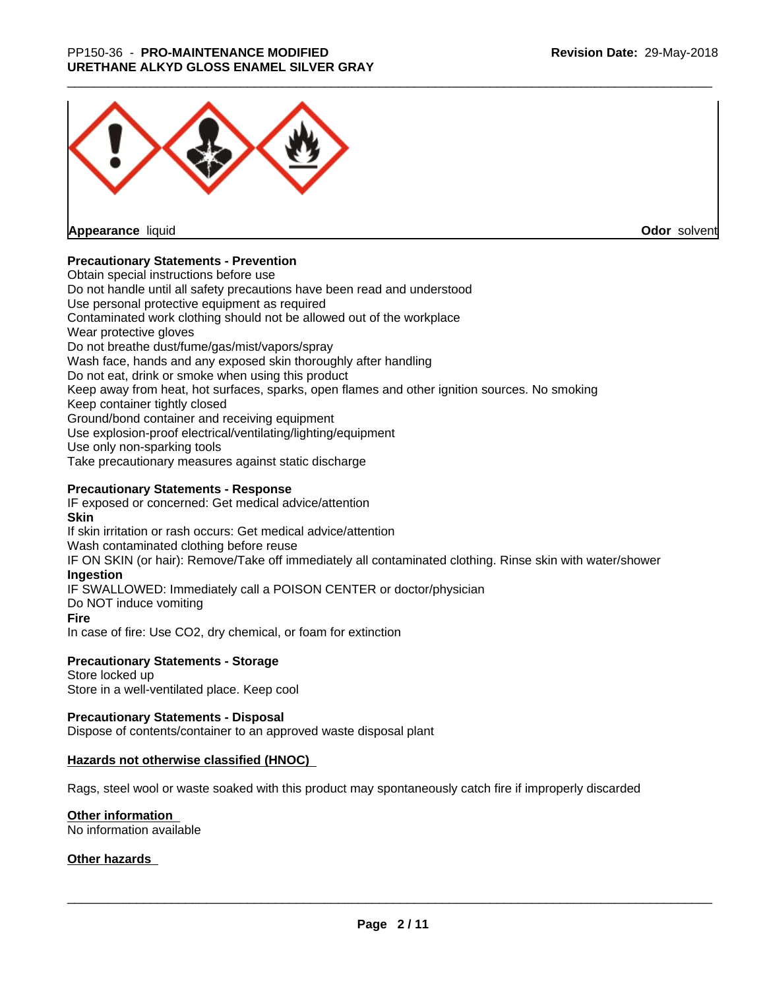

**Appearance** liquid

**Odor** solvent

## **Precautionary Statements - Prevention**

Obtain special instructions before use Do not handle until all safety precautions have been read and understood Use personal protective equipment as required Contaminated work clothing should not be allowed out of the workplace Wear protective gloves Do not breathe dust/fume/gas/mist/vapors/spray Wash face, hands and any exposed skin thoroughly after handling Do not eat, drink or smoke when using this product Keep away from heat, hot surfaces, sparks, open flames and other ignition sources. No smoking Keep container tightly closed Ground/bond container and receiving equipment Use explosion-proof electrical/ventilating/lighting/equipment Use only non-sparking tools Take precautionary measures against static discharge

## **Precautionary Statements - Response**

IF exposed or concerned: Get medical advice/attention **Skin** If skin irritation or rash occurs: Get medical advice/attention Wash contaminated clothing before reuse IF ON SKIN (or hair): Remove/Take off immediately all contaminated clothing. Rinse skin with water/shower **Ingestion** IF SWALLOWED: Immediately call a POISON CENTER or doctor/physician Do NOT induce vomiting **Fire** In case of fire: Use CO2, dry chemical, or foam for extinction

## **Precautionary Statements - Storage**

Store locked up Store in a well-ventilated place. Keep cool

## **Precautionary Statements - Disposal**

Dispose of contents/container to an approved waste disposal plant

## **Hazards not otherwise classified (HNOC)**

Rags, steel wool or waste soaked with this product may spontaneously catch fire if improperly discarded

## **Other information**

No information available

## **Other hazards**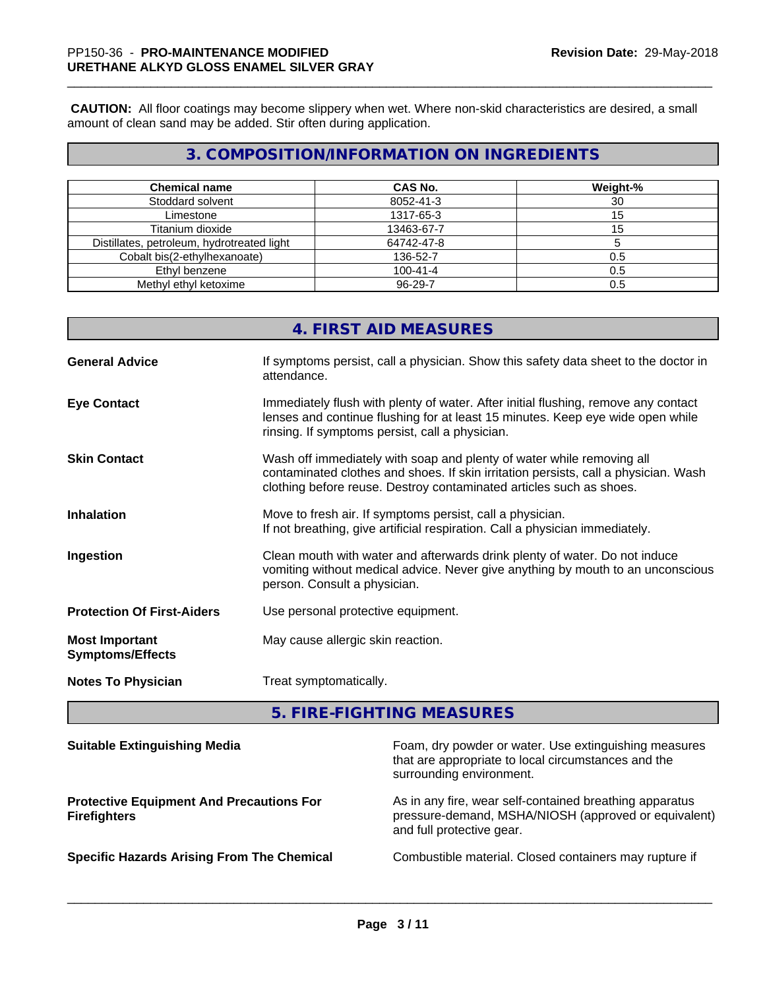**CAUTION:** All floor coatings may become slippery when wet. Where non-skid characteristics are desired, a small amount of clean sand may be added. Stir often during application.

# **3. COMPOSITION/INFORMATION ON INGREDIENTS**

| <b>Chemical name</b>                       | <b>CAS No.</b> | Weight-% |
|--------------------------------------------|----------------|----------|
| Stoddard solvent                           | 8052-41-3      | 30       |
| Limestone                                  | 1317-65-3      | 15       |
| Titanium dioxide                           | 13463-67-7     |          |
| Distillates, petroleum, hydrotreated light | 64742-47-8     |          |
| Cobalt bis(2-ethylhexanoate)               | 136-52-7       | 0.5      |
| Ethyl benzene                              | $100 - 41 - 4$ | 0.5      |
| Methyl ethyl ketoxime                      | 96-29-7        | 0.5      |

|                                                  | <b>4. FIRST AID MEASURES</b>                                                                                                                                                                                                        |
|--------------------------------------------------|-------------------------------------------------------------------------------------------------------------------------------------------------------------------------------------------------------------------------------------|
| <b>General Advice</b>                            | If symptoms persist, call a physician. Show this safety data sheet to the doctor in<br>attendance.                                                                                                                                  |
| <b>Eye Contact</b>                               | Immediately flush with plenty of water. After initial flushing, remove any contact<br>lenses and continue flushing for at least 15 minutes. Keep eye wide open while<br>rinsing. If symptoms persist, call a physician.             |
| <b>Skin Contact</b>                              | Wash off immediately with soap and plenty of water while removing all<br>contaminated clothes and shoes. If skin irritation persists, call a physician. Wash<br>clothing before reuse. Destroy contaminated articles such as shoes. |
| <b>Inhalation</b>                                | Move to fresh air. If symptoms persist, call a physician.<br>If not breathing, give artificial respiration. Call a physician immediately.                                                                                           |
| Ingestion                                        | Clean mouth with water and afterwards drink plenty of water. Do not induce<br>vomiting without medical advice. Never give anything by mouth to an unconscious<br>person. Consult a physician.                                       |
| <b>Protection Of First-Aiders</b>                | Use personal protective equipment.                                                                                                                                                                                                  |
| <b>Most Important</b><br><b>Symptoms/Effects</b> | May cause allergic skin reaction.                                                                                                                                                                                                   |
| <b>Notes To Physician</b>                        | Treat symptomatically.                                                                                                                                                                                                              |
|                                                  |                                                                                                                                                                                                                                     |

**5. FIRE-FIGHTING MEASURES**

| <b>Suitable Extinguishing Media</b>                                    | Foam, dry powder or water. Use extinguishing measures<br>that are appropriate to local circumstances and the<br>surrounding environment.     |
|------------------------------------------------------------------------|----------------------------------------------------------------------------------------------------------------------------------------------|
| <b>Protective Equipment And Precautions For</b><br><b>Firefighters</b> | As in any fire, wear self-contained breathing apparatus<br>pressure-demand, MSHA/NIOSH (approved or equivalent)<br>and full protective gear. |
| <b>Specific Hazards Arising From The Chemical</b>                      | Combustible material. Closed containers may rupture if                                                                                       |
|                                                                        |                                                                                                                                              |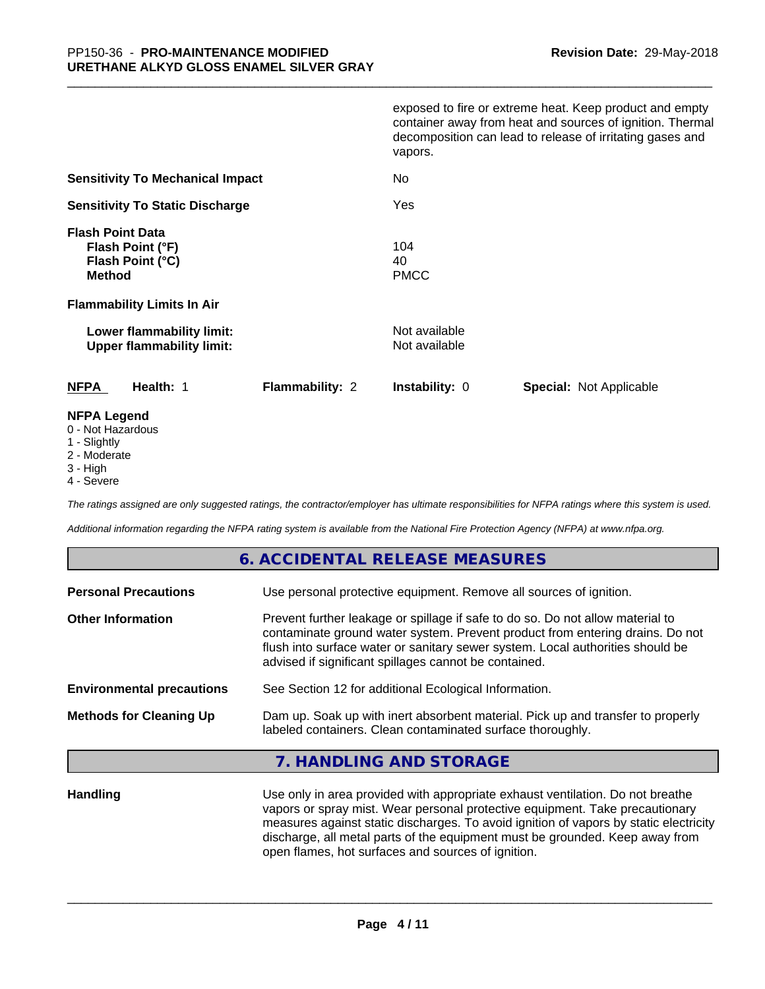|                                                                                                                              | exposed to fire or extreme heat. Keep product and empty<br>container away from heat and sources of ignition. Thermal<br>decomposition can lead to release of irritating gases and<br>vapors. |
|------------------------------------------------------------------------------------------------------------------------------|----------------------------------------------------------------------------------------------------------------------------------------------------------------------------------------------|
| <b>Sensitivity To Mechanical Impact</b>                                                                                      | No                                                                                                                                                                                           |
| <b>Sensitivity To Static Discharge</b>                                                                                       | Yes                                                                                                                                                                                          |
| <b>Flash Point Data</b><br>Flash Point (°F)<br>Flash Point (°C)<br><b>Method</b><br><b>Flammability Limits In Air</b>        | 104<br>40<br><b>PMCC</b>                                                                                                                                                                     |
| Lower flammability limit:<br><b>Upper flammability limit:</b>                                                                | Not available<br>Not available                                                                                                                                                               |
| <b>NFPA</b><br>Health: 1<br><b>Flammability: 2</b>                                                                           | <b>Instability: 0</b><br><b>Special: Not Applicable</b>                                                                                                                                      |
| <b>NFPA Legend</b><br>$\bigcap$ <b>N</b> Let $\bigcup$ $\bigcup$ $\bigcup$ $\bigcup$ $\bigcup$ $\bigcup$ $\bigcup$ $\bigcup$ |                                                                                                                                                                                              |

- 0 Not Hazardous
- 1 Slightly
- 2 Moderate
- 3 High
- 4 Severe

*The ratings assigned are only suggested ratings, the contractor/employer has ultimate responsibilities for NFPA ratings where this system is used.*

*Additional information regarding the NFPA rating system is available from the National Fire Protection Agency (NFPA) at www.nfpa.org.*

# **6. ACCIDENTAL RELEASE MEASURES**

| <b>Personal Precautions</b>      | Use personal protective equipment. Remove all sources of ignition.                                                                                                                                                                                                                                         |
|----------------------------------|------------------------------------------------------------------------------------------------------------------------------------------------------------------------------------------------------------------------------------------------------------------------------------------------------------|
| <b>Other Information</b>         | Prevent further leakage or spillage if safe to do so. Do not allow material to<br>contaminate ground water system. Prevent product from entering drains. Do not<br>flush into surface water or sanitary sewer system. Local authorities should be<br>advised if significant spillages cannot be contained. |
| <b>Environmental precautions</b> | See Section 12 for additional Ecological Information.                                                                                                                                                                                                                                                      |
| <b>Methods for Cleaning Up</b>   | Dam up. Soak up with inert absorbent material. Pick up and transfer to properly<br>labeled containers. Clean contaminated surface thoroughly.                                                                                                                                                              |

## **7. HANDLING AND STORAGE**

**Handling** Use only in area provided with appropriate exhaust ventilation. Do not breathe vapors or spray mist. Wear personal protective equipment. Take precautionary measures against static discharges. To avoid ignition of vapors by static electricity discharge, all metal parts of the equipment must be grounded. Keep away from open flames, hot surfaces and sources of ignition.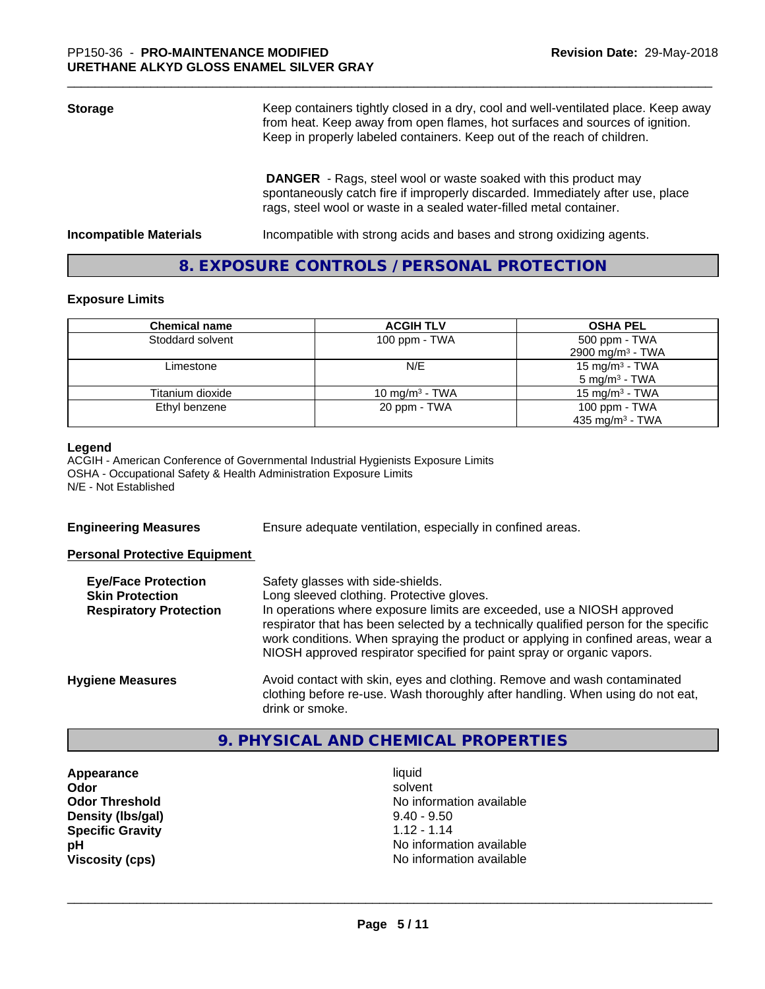| <b>Storage</b>                | Keep containers tightly closed in a dry, cool and well-ventilated place. Keep away<br>from heat. Keep away from open flames, hot surfaces and sources of ignition.<br>Keep in properly labeled containers. Keep out of the reach of children. |  |
|-------------------------------|-----------------------------------------------------------------------------------------------------------------------------------------------------------------------------------------------------------------------------------------------|--|
|                               | <b>DANGER</b> - Rags, steel wool or waste soaked with this product may<br>spontaneously catch fire if improperly discarded. Immediately after use, place<br>rags, steel wool or waste in a sealed water-filled metal container.               |  |
| <b>Incompatible Materials</b> | Incompatible with strong acids and bases and strong oxidizing agents.                                                                                                                                                                         |  |

# **8. EXPOSURE CONTROLS / PERSONAL PROTECTION**

## **Exposure Limits**

| <b>Chemical name</b> | <b>ACGIH TLV</b>  | <b>OSHA PEL</b>                                        |
|----------------------|-------------------|--------------------------------------------------------|
| Stoddard solvent     | 100 ppm - $TWA$   | 500 ppm - TWA<br>2900 mg/m <sup>3</sup> - TWA          |
| Limestone            | N/E               | 15 mg/m <sup>3</sup> - TWA<br>$5 \text{ mg/m}^3$ - TWA |
| Titanium dioxide     | 10 mg/m $3$ - TWA | 15 mg/m $3$ - TWA                                      |
| Ethyl benzene        | 20 ppm - TWA      | 100 ppm $-$ TWA<br>435 mg/m <sup>3</sup> - TWA         |

#### **Legend**

ACGIH - American Conference of Governmental Industrial Hygienists Exposure Limits OSHA - Occupational Safety & Health Administration Exposure Limits N/E - Not Established

**Engineering Measures** Ensure adequate ventilation, especially in confined areas.

## **Personal Protective Equipment**

| <b>Eye/Face Protection</b><br><b>Skin Protection</b> | Safety glasses with side-shields.<br>Long sleeved clothing. Protective gloves.                                                                                                                                                                     |
|------------------------------------------------------|----------------------------------------------------------------------------------------------------------------------------------------------------------------------------------------------------------------------------------------------------|
| <b>Respiratory Protection</b>                        | In operations where exposure limits are exceeded, use a NIOSH approved                                                                                                                                                                             |
|                                                      | respirator that has been selected by a technically qualified person for the specific<br>work conditions. When spraying the product or applying in confined areas, wear a<br>NIOSH approved respirator specified for paint spray or organic vapors. |
| <b>Hygiene Measures</b>                              | Avoid contact with skin, eyes and clothing. Remove and wash contaminated<br>clothing before re-use. Wash thoroughly after handling. When using do not eat,                                                                                         |
|                                                      | drink or smoke.                                                                                                                                                                                                                                    |

# **9. PHYSICAL AND CHEMICAL PROPERTIES**

**Appearance** liquid **Density (lbs/gal)** 9.40 - 9.50<br> **Specific Gravity** 1.12 - 1.14 **Specific Gravity** 

**Odor** solvent **Odor Threshold No information available No information available pH** No information available **Viscosity (cps)** No information available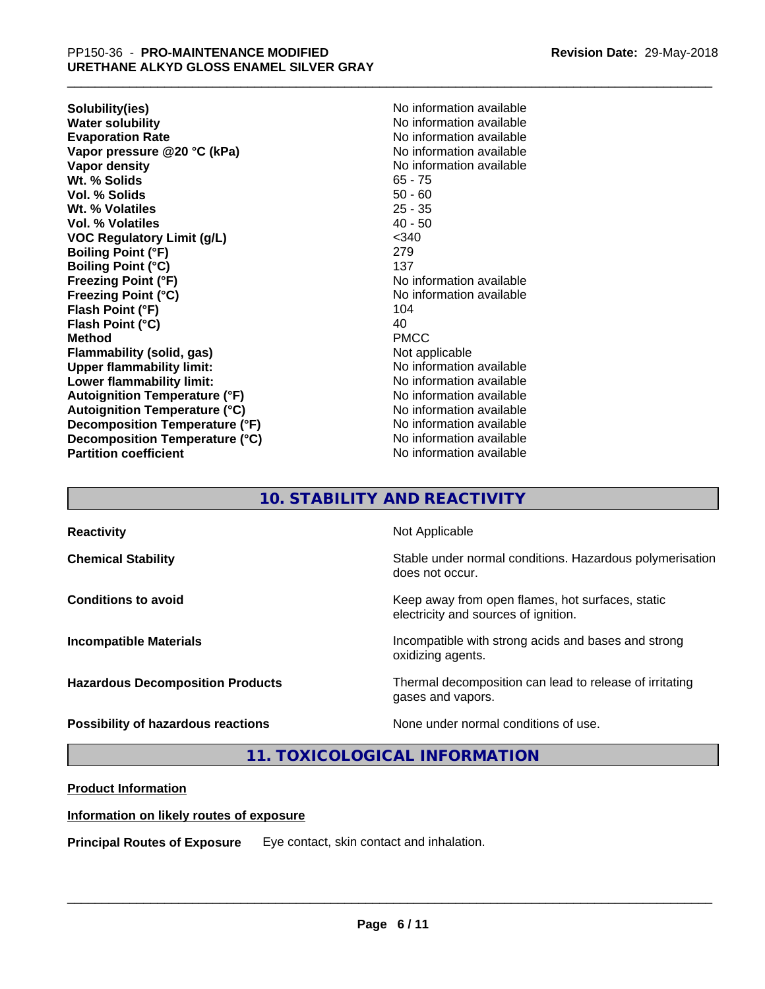**Solubility(ies)** No information available **Water solubility**<br> **Evaporation Rate**<br> **Evaporation Rate**<br> **Evaporation Rate Vapor pressure @20 °C (kPa)** No information available **Vapor density No information available No** information available **Wt. % Solids** 65 - 75 **Vol. % Solids** 50 - 60 **Wt. % Volatiles** 25 - 35 **Vol. % Volatiles VOC Regulatory Limit (g/L)** <340 **Boiling Point (°F)** 279 **Boiling Point (°C)** 137 **Freezing Point (°F)**<br> **Freezing Point (°C)**<br> **Freezing Point (°C)**<br> **No information available Flash Point (°F)** 104 **Flash Point (°C)** 40 **Method** PMCC **Flammability (solid, gas)** Not applicable **Upper flammability limit:** No information available **Lower flammability limit:** No information available **Lower** flammability limit: **Autoignition Temperature (°F)**<br> **Autoignition Temperature (°C)** No information available<br>
No information available **Autoignition Temperature (°C) Decomposition Temperature (°F)** No information available **Decomposition Temperature (°C)** No information available **Partition coefficient CONSTRANSISTS No information available** 

**Evaporation Rate** No information available **Freezing Point (°C)** No information available

# **10. STABILITY AND REACTIVITY**

| <b>Reactivity</b>                       | Not Applicable                                                                           |
|-----------------------------------------|------------------------------------------------------------------------------------------|
| <b>Chemical Stability</b>               | Stable under normal conditions. Hazardous polymerisation<br>does not occur.              |
| <b>Conditions to avoid</b>              | Keep away from open flames, hot surfaces, static<br>electricity and sources of ignition. |
| <b>Incompatible Materials</b>           | Incompatible with strong acids and bases and strong<br>oxidizing agents.                 |
| <b>Hazardous Decomposition Products</b> | Thermal decomposition can lead to release of irritating<br>gases and vapors.             |
| Possibility of hazardous reactions      | None under normal conditions of use.                                                     |

**11. TOXICOLOGICAL INFORMATION**

## **Product Information**

## **Information on likely routes of exposure**

**Principal Routes of Exposure** Eye contact, skin contact and inhalation.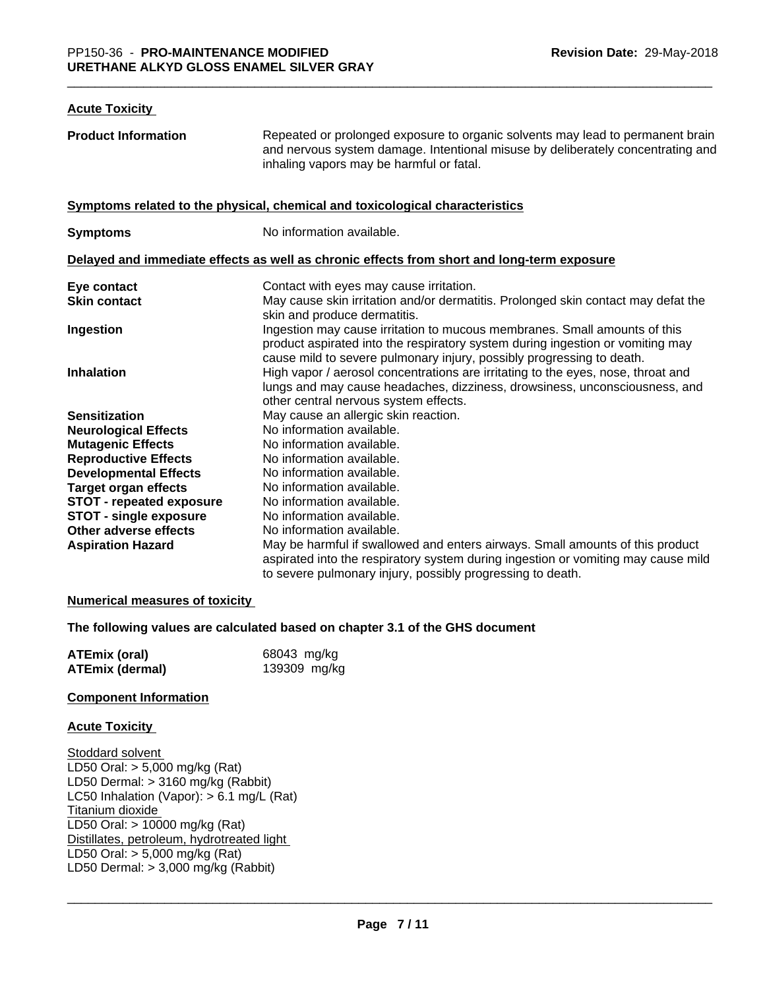#### **Acute Toxicity**

| <b>Product Information</b>      | Repeated or prolonged exposure to organic solvents may lead to permanent brain<br>and nervous system damage. Intentional misuse by deliberately concentrating and<br>inhaling vapors may be harmful or fatal.                        |
|---------------------------------|--------------------------------------------------------------------------------------------------------------------------------------------------------------------------------------------------------------------------------------|
|                                 | Symptoms related to the physical, chemical and toxicological characteristics                                                                                                                                                         |
| <b>Symptoms</b>                 | No information available.                                                                                                                                                                                                            |
|                                 | Delayed and immediate effects as well as chronic effects from short and long-term exposure                                                                                                                                           |
| Eye contact                     | Contact with eyes may cause irritation.                                                                                                                                                                                              |
| <b>Skin contact</b>             | May cause skin irritation and/or dermatitis. Prolonged skin contact may defat the<br>skin and produce dermatitis.                                                                                                                    |
| Ingestion                       | Ingestion may cause irritation to mucous membranes. Small amounts of this<br>product aspirated into the respiratory system during ingestion or vomiting may<br>cause mild to severe pulmonary injury, possibly progressing to death. |
| <b>Inhalation</b>               | High vapor / aerosol concentrations are irritating to the eyes, nose, throat and<br>lungs and may cause headaches, dizziness, drowsiness, unconsciousness, and<br>other central nervous system effects.                              |
| <b>Sensitization</b>            | May cause an allergic skin reaction.                                                                                                                                                                                                 |
| <b>Neurological Effects</b>     | No information available.                                                                                                                                                                                                            |
| <b>Mutagenic Effects</b>        | No information available.                                                                                                                                                                                                            |
| <b>Reproductive Effects</b>     | No information available.                                                                                                                                                                                                            |
| <b>Developmental Effects</b>    | No information available.                                                                                                                                                                                                            |
| <b>Target organ effects</b>     | No information available.                                                                                                                                                                                                            |
| <b>STOT - repeated exposure</b> | No information available.                                                                                                                                                                                                            |
| <b>STOT - single exposure</b>   | No information available.                                                                                                                                                                                                            |
| Other adverse effects           | No information available.                                                                                                                                                                                                            |
| <b>Aspiration Hazard</b>        | May be harmful if swallowed and enters airways. Small amounts of this product<br>aspirated into the respiratory system during ingestion or vomiting may cause mild<br>to severe pulmonary injury, possibly progressing to death.     |

## **Numerical measures of toxicity**

## **The following values are calculated based on chapter 3.1 of the GHS document**

| <b>ATEmix (oral)</b>   | 68043 mg/kg  |
|------------------------|--------------|
| <b>ATEmix (dermal)</b> | 139309 mg/kg |

#### **Component Information**

#### **Acute Toxicity**

Stoddard solvent LD50 Oral: > 5,000 mg/kg (Rat) LD50 Dermal: > 3160 mg/kg (Rabbit) LC50 Inhalation (Vapor): > 6.1 mg/L (Rat) Titanium dioxide LD50 Oral: > 10000 mg/kg (Rat) Distillates, petroleum, hydrotreated light LD50 Oral: > 5,000 mg/kg (Rat) LD50 Dermal: > 3,000 mg/kg (Rabbit)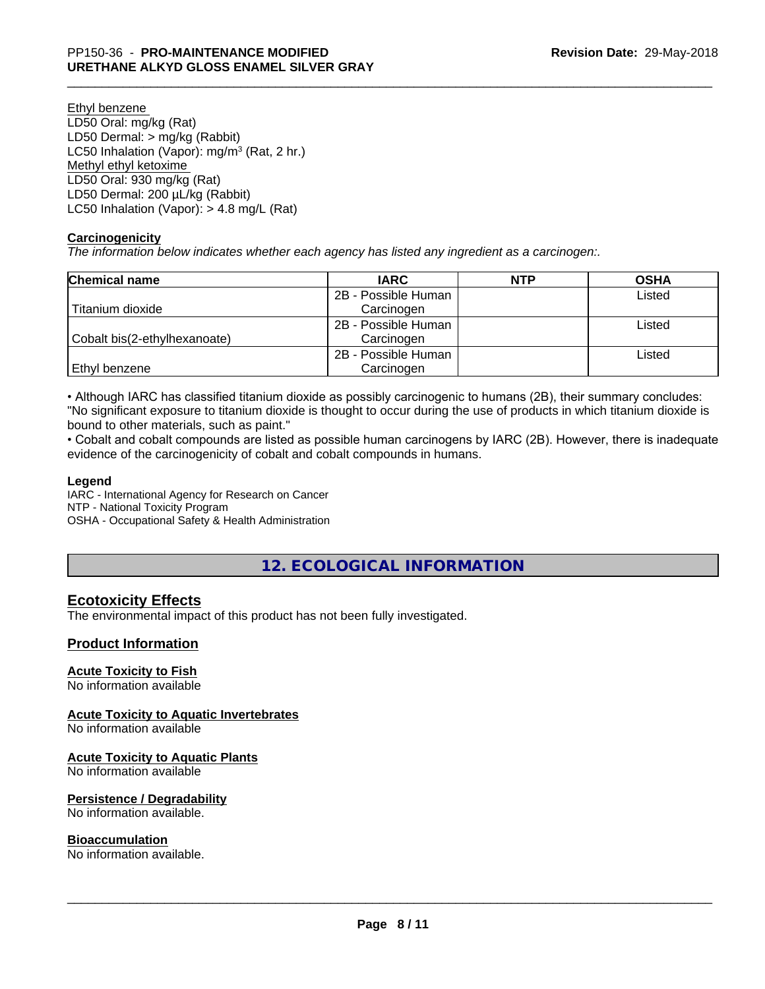Ethyl benzene LD50 Oral: mg/kg (Rat) LD50 Dermal: > mg/kg (Rabbit) LC50 Inhalation (Vapor): mg/m<sup>3</sup> (Rat, 2 hr.) Methyl ethyl ketoxime LD50 Oral: 930 mg/kg (Rat) LD50 Dermal: 200 µL/kg (Rabbit) LC50 Inhalation (Vapor): > 4.8 mg/L (Rat)

## **Carcinogenicity**

*The information below indicateswhether each agency has listed any ingredient as a carcinogen:.*

| <b>Chemical name</b>         | <b>IARC</b>         | <b>NTP</b> | <b>OSHA</b> |
|------------------------------|---------------------|------------|-------------|
|                              | 2B - Possible Human |            | Listed      |
| Titanium dioxide             | Carcinogen          |            |             |
|                              | 2B - Possible Human |            | Listed      |
| Cobalt bis(2-ethylhexanoate) | Carcinogen          |            |             |
|                              | 2B - Possible Human |            | Listed      |
| Ethyl benzene                | Carcinogen          |            |             |

• Although IARC has classified titanium dioxide as possibly carcinogenic to humans (2B), their summary concludes: "No significant exposure to titanium dioxide is thought to occur during the use of products in which titanium dioxide is bound to other materials, such as paint."

• Cobalt and cobalt compounds are listed as possible human carcinogens by IARC (2B). However, there is inadequate evidence of the carcinogenicity of cobalt and cobalt compounds in humans.

## **Legend**

IARC - International Agency for Research on Cancer NTP - National Toxicity Program OSHA - Occupational Safety & Health Administration

# **12. ECOLOGICAL INFORMATION**

# **Ecotoxicity Effects**

The environmental impact of this product has not been fully investigated.

## **Product Information**

## **Acute Toxicity to Fish**

No information available

## **Acute Toxicity to Aquatic Invertebrates**

No information available

## **Acute Toxicity to Aquatic Plants**

No information available

## **Persistence / Degradability**

No information available.

## **Bioaccumulation**

No information available.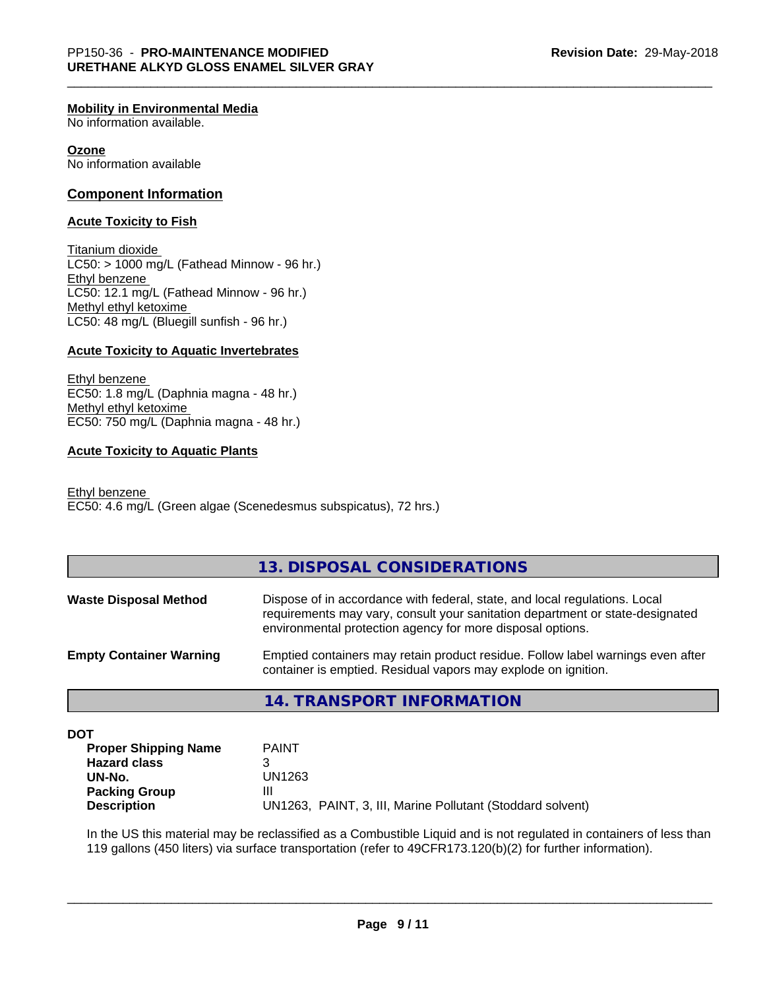#### **Mobility in Environmental Media**

No information available.

#### **Ozone**

No information available

## **Component Information**

#### **Acute Toxicity to Fish**

Titanium dioxide  $LC50:$  > 1000 mg/L (Fathead Minnow - 96 hr.) Ethyl benzene LC50: 12.1 mg/L (Fathead Minnow - 96 hr.) Methyl ethyl ketoxime LC50: 48 mg/L (Bluegill sunfish - 96 hr.)

## **Acute Toxicity to Aquatic Invertebrates**

Ethyl benzene EC50: 1.8 mg/L (Daphnia magna - 48 hr.) Methyl ethyl ketoxime EC50: 750 mg/L (Daphnia magna - 48 hr.)

## **Acute Toxicity to Aquatic Plants**

Ethyl benzene EC50: 4.6 mg/L (Green algae (Scenedesmus subspicatus), 72 hrs.)

## **13. DISPOSAL CONSIDERATIONS**

| <b>Waste Disposal Method</b>   | Dispose of in accordance with federal, state, and local regulations. Local<br>requirements may vary, consult your sanitation department or state-designated<br>environmental protection agency for more disposal options. |
|--------------------------------|---------------------------------------------------------------------------------------------------------------------------------------------------------------------------------------------------------------------------|
| <b>Empty Container Warning</b> | Emptied containers may retain product residue. Follow label warnings even after<br>container is emptied. Residual vapors may explode on ignition.                                                                         |

## **14. TRANSPORT INFORMATION**

**DOT**

| <b>Proper Shipping Name</b> | <b>PAINT</b>                                               |
|-----------------------------|------------------------------------------------------------|
| <b>Hazard class</b>         |                                                            |
| UN-No.                      | UN1263                                                     |
| <b>Packing Group</b>        | Ш                                                          |
| <b>Description</b>          | UN1263, PAINT, 3, III, Marine Pollutant (Stoddard solvent) |

In the US this material may be reclassified as a Combustible Liquid and is not regulated in containers of less than 119 gallons (450 liters) via surface transportation (refer to 49CFR173.120(b)(2) for further information).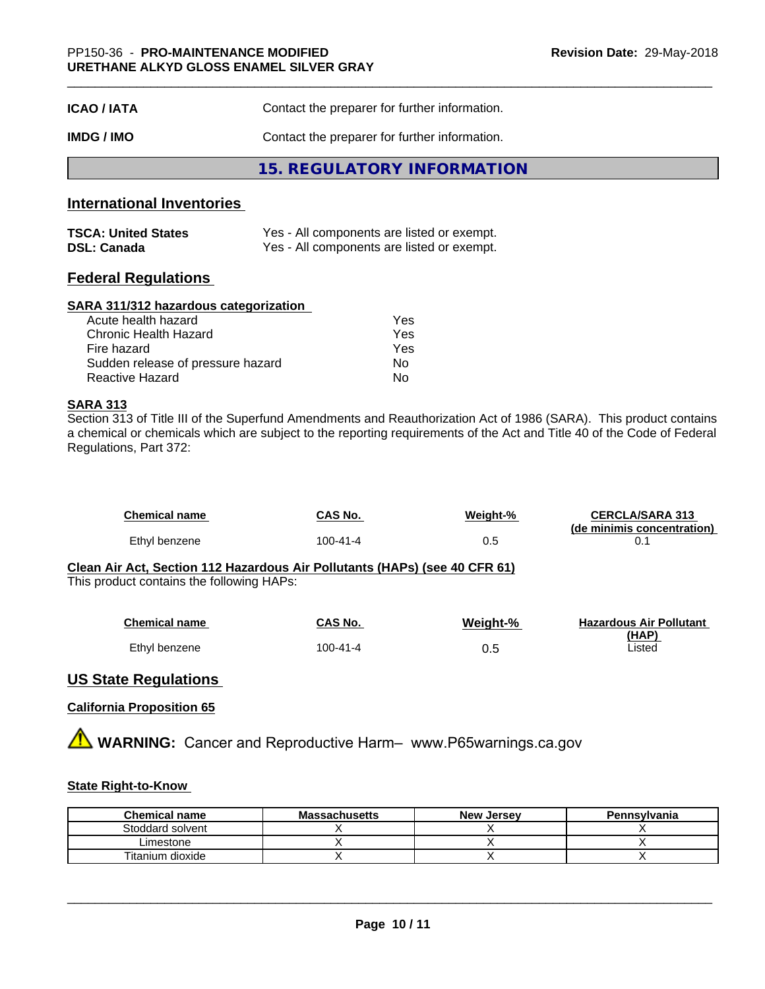| <b>ICAO/IATA</b> | Contact the preparer for further information. |  |
|------------------|-----------------------------------------------|--|
| IMDG / IMO       | Contact the preparer for further information. |  |
|                  | 15. REGULATORY INFORMATION                    |  |

## **International Inventories**

| <b>TSCA: United States</b> | Yes - All components are listed or exempt. |
|----------------------------|--------------------------------------------|
| <b>DSL: Canada</b>         | Yes - All components are listed or exempt. |

## **Federal Regulations**

## **SARA 311/312 hazardous categorization**

| Acute health hazard               | Yes |
|-----------------------------------|-----|
| Chronic Health Hazard             | Yes |
| Fire hazard                       | Yes |
| Sudden release of pressure hazard | Nο  |
| Reactive Hazard                   | Nο  |

## **SARA 313**

Section 313 of Title III of the Superfund Amendments and Reauthorization Act of 1986 (SARA). This product contains a chemical or chemicals which are subject to the reporting requirements of the Act and Title 40 of the Code of Federal Regulations, Part 372:

| <b>Chemical name</b> | CAS No.  | Weight-% | <b>CERCLA/SARA 313</b><br>(de minimis concentration) |
|----------------------|----------|----------|------------------------------------------------------|
| Ethyl benzene        | 100-41-4 | 0.5      |                                                      |

#### **Clean Air Act,Section 112 Hazardous Air Pollutants (HAPs) (see 40 CFR 61)** This product contains the following HAPs:

| <b>Chemical name</b> | CAS No.  | Weight-% | <b>Hazardous Air Pollutant</b> |
|----------------------|----------|----------|--------------------------------|
|                      |          |          | (HAP)                          |
| Ethyl benzene        | 100-41-4 | 0.5      | ∟isted                         |

# **US State Regulations**

## **California Proposition 65**

**AVIMARNING:** Cancer and Reproductive Harm– www.P65warnings.ca.gov

## **State Right-to-Know**

| <b>Chemical name</b> | <b>Massachusetts</b> | <b>New Jersey</b> | Pennsylvania |
|----------------------|----------------------|-------------------|--------------|
| Stoddard solvent     |                      |                   |              |
| ∟imestone            |                      |                   |              |
| Titanium dioxide     |                      |                   |              |